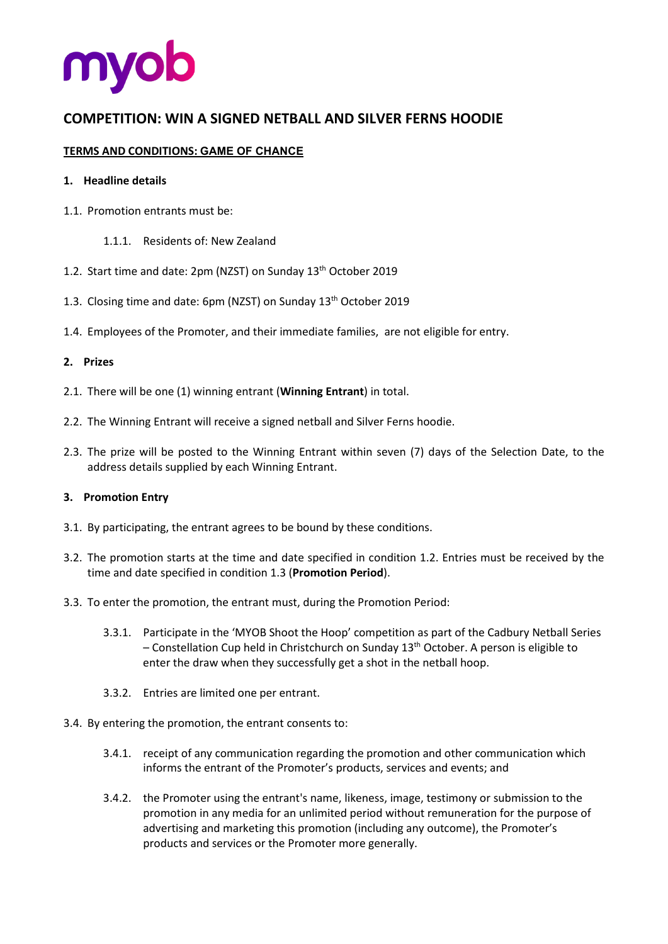

# **COMPETITION: WIN A SIGNED NETBALL AND SILVER FERNS HOODIE**

## **TERMS AND CONDITIONS: GAME OF CHANCE**

#### **1. Headline details**

- 1.1. Promotion entrants must be:
	- 1.1.1. Residents of: New Zealand
- 1.2. Start time and date: 2pm (NZST) on Sunday 13th October 2019
- 1.3. Closing time and date: 6pm (NZST) on Sunday 13<sup>th</sup> October 2019
- 1.4. Employees of the Promoter, and their immediate families, are not eligible for entry.

#### **2. Prizes**

- 2.1. There will be one (1) winning entrant (**Winning Entrant**) in total.
- 2.2. The Winning Entrant will receive a signed netball and Silver Ferns hoodie.
- 2.3. The prize will be posted to the Winning Entrant within seven (7) days of the Selection Date, to the address details supplied by each Winning Entrant.

#### **3. Promotion Entry**

- 3.1. By participating, the entrant agrees to be bound by these conditions.
- 3.2. The promotion starts at the time and date specified in condition 1.2. Entries must be received by the time and date specified in condition 1.3 (**Promotion Period**).
- 3.3. To enter the promotion, the entrant must, during the Promotion Period:
	- 3.3.1. Participate in the 'MYOB Shoot the Hoop' competition as part of the Cadbury Netball Series – Constellation Cup held in Christchurch on Sunday  $13<sup>th</sup>$  October. A person is eligible to enter the draw when they successfully get a shot in the netball hoop.
	- 3.3.2. Entries are limited one per entrant.
- 3.4. By entering the promotion, the entrant consents to:
	- 3.4.1. receipt of any communication regarding the promotion and other communication which informs the entrant of the Promoter's products, services and events; and
	- 3.4.2. the Promoter using the entrant's name, likeness, image, testimony or submission to the promotion in any media for an unlimited period without remuneration for the purpose of advertising and marketing this promotion (including any outcome), the Promoter's products and services or the Promoter more generally.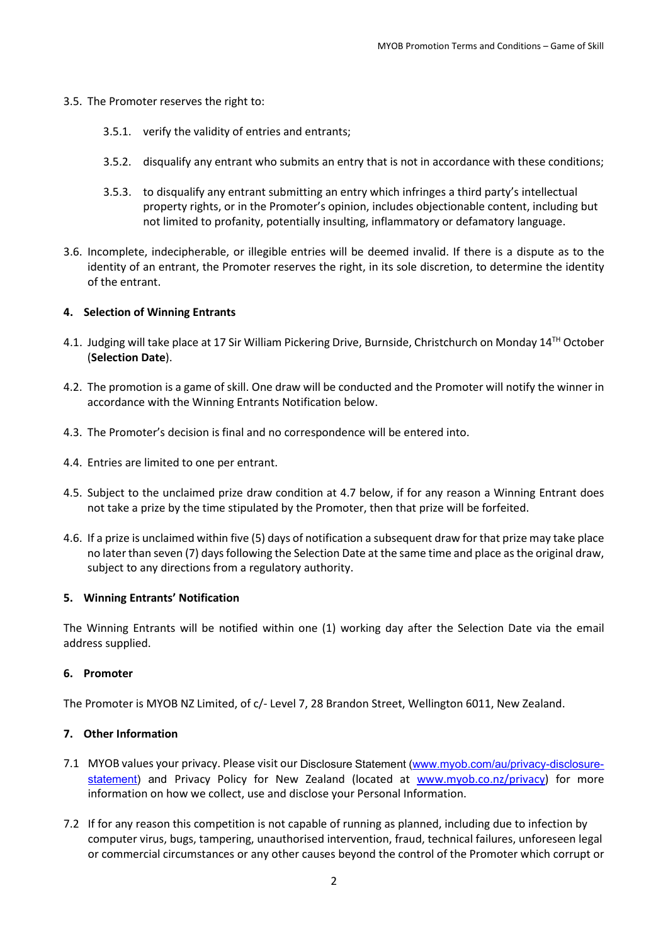- 3.5. The Promoter reserves the right to:
	- 3.5.1. verify the validity of entries and entrants;
	- 3.5.2. disqualify any entrant who submits an entry that is not in accordance with these conditions;
	- 3.5.3. to disqualify any entrant submitting an entry which infringes a third party's intellectual property rights, or in the Promoter's opinion, includes objectionable content, including but not limited to profanity, potentially insulting, inflammatory or defamatory language.
- 3.6. Incomplete, indecipherable, or illegible entries will be deemed invalid. If there is a dispute as to the identity of an entrant, the Promoter reserves the right, in its sole discretion, to determine the identity of the entrant.

## **4. Selection of Winning Entrants**

- 4.1. Judging will take place at 17 Sir William Pickering Drive, Burnside, Christchurch on Monday 14<sup>TH</sup> October (**Selection Date**).
- 4.2. The promotion is a game of skill. One draw will be conducted and the Promoter will notify the winner in accordance with the Winning Entrants Notification below.
- 4.3. The Promoter's decision is final and no correspondence will be entered into.
- 4.4. Entries are limited to one per entrant.
- 4.5. Subject to the unclaimed prize draw condition at 4.7 below, if for any reason a Winning Entrant does not take a prize by the time stipulated by the Promoter, then that prize will be forfeited.
- 4.6. If a prize is unclaimed within five (5) days of notification a subsequent draw for that prize may take place no later than seven (7) days following the Selection Date at the same time and place as the original draw, subject to any directions from a regulatory authority.

#### **5. Winning Entrants' Notification**

The Winning Entrants will be notified within one (1) working day after the Selection Date via the email address supplied.

#### **6. Promoter**

The Promoter is MYOB NZ Limited, of c/- Level 7, 28 Brandon Street, Wellington 6011, New Zealand.

## **7. Other Information**

- 7.1 MYOB values your privacy. Please visit our Disclosure Statement [\(www.myob.com/au/privacy-disclosure](http://www.myob.com/au/privacy-disclosure-statement)[statement\)](http://www.myob.com/au/privacy-disclosure-statement) and Privacy Policy for New Zealand (located at [www.myob.co.nz/privacy\)](http://www.myob.co.nz/privacy) for more information on how we collect, use and disclose your Personal Information.
- 7.2 If for any reason this competition is not capable of running as planned, including due to infection by computer virus, bugs, tampering, unauthorised intervention, fraud, technical failures, unforeseen legal or commercial circumstances or any other causes beyond the control of the Promoter which corrupt or